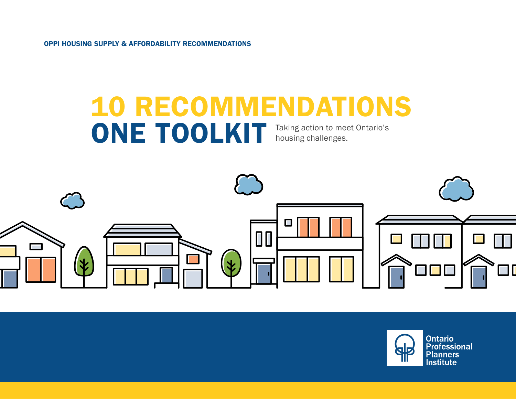OPPI HOUSING SUPPLY & AFFORDABILITY RECOMMENDATIONS

## 10 RECOMMENDATIONS ONE TOOLKIT Taking action to meet Ontario's housing challenges. housing challenges.



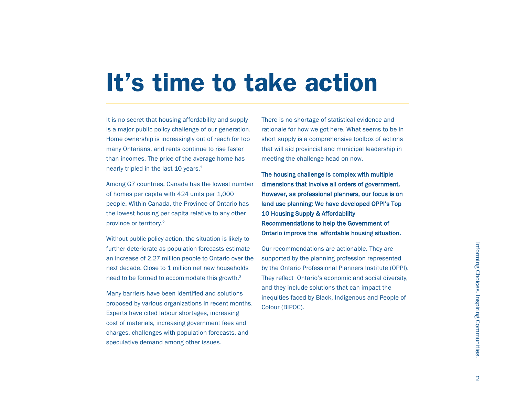## It's time to take action

It is no secret that housing affordability and supply is a major public policy challenge of our generation. Home ownership is increasingly out of reach for too many Ontarians, and rents continue to rise faster than incomes. The price of the average home has nearly tripled in the last 10 years. $1$ 

Among G7 countries, Canada has the lowest number of homes per capita with 424 units per 1,000 people. Within Canada, the Province of Ontario has the lowest housing per capita relative to any other province or territory.2

Without public policy action, the situation is likely to further deteriorate as population forecasts estimate an increase of 2.27 million people to Ontario over the next decade. Close to 1 million net new households need to be formed to accommodate this growth.3

Many barriers have been identified and solutions proposed by various organizations in recent months. Experts have cited labour shortages, increasing cost of materials, increasing government fees and charges, challenges with population forecasts, and speculative demand among other issues.

There is no shortage of statistical evidence and rationale for how we got here. What seems to be in short supply is a comprehensive toolbox of actions that will aid provincial and municipal leadership in meeting the challenge head on now.

The housing challenge is complex with multiple dimensions that involve all orders of government. However, as professional planners, our focus is on land use planning: We have developed OPPI's Top 10 Housing Supply & Affordability Recommendations to help the Government of Ontario improve the affordable housing situation.

Our recommendations are actionable. They are supported by the planning profession represented by the Ontario Professional Planners Institute (OPPI). They reflect Ontario's economic and social diversity, and they include solutions that can impact the inequities faced by Black, Indigenous and People of Colour (BIPOC).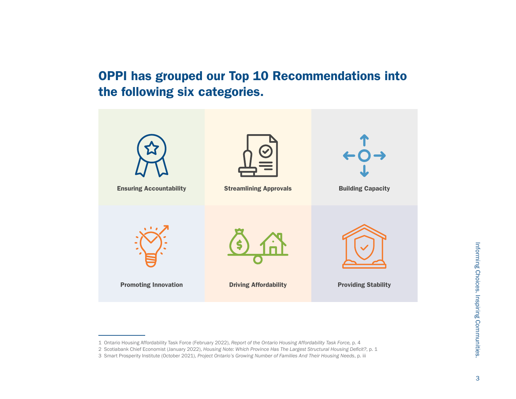OPPI has grouped our Top 10 Recommendations into the following six categories.



<sup>1</sup> Ontario Housing Affordability Task Force (February 2022), *Report of the Ontario Housing Affordability Task Force,* p. 4

<sup>2</sup> Scotiabank Chief Economist (January 2022), *Housing Note: Which Province Has The Largest Structural Housing Deficit?*, p. 1

<sup>3</sup> Smart Prosperity Institute (October 2021), *Project Ontario's Growing Number of Families And Their Housing Needs*, p. iii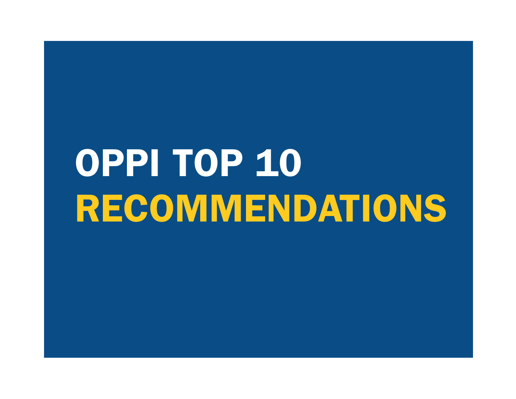# OPPI TOP 10 RECOMMENDATIONS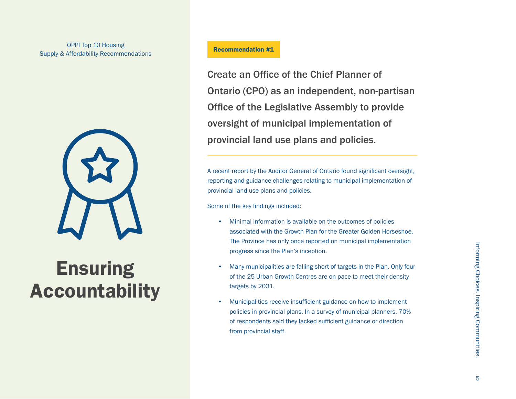

## **Ensuring** Accountability

Create an Office of the Chief Planner of Ontario (CPO) as an independent, non-partisan Office of the Legislative Assembly to provide oversight of municipal implementation of provincial land use plans and policies.

A recent report by the Auditor General of Ontario found significant oversight, reporting and guidance challenges relating to municipal implementation of provincial land use plans and policies.

Some of the key findings included:

- Minimal information is available on the outcomes of policies associated with the Growth Plan for the Greater Golden Horseshoe. The Province has only once reported on municipal implementation progress since the Plan's inception.
- Many municipalities are falling short of targets in the Plan. Only four of the 25 Urban Growth Centres are on pace to meet their density targets by 2031.
- Municipalities receive insufficient guidance on how to implement policies in provincial plans. In a survey of municipal planners, 70% of respondents said they lacked sufficient guidance or direction from provincial staff.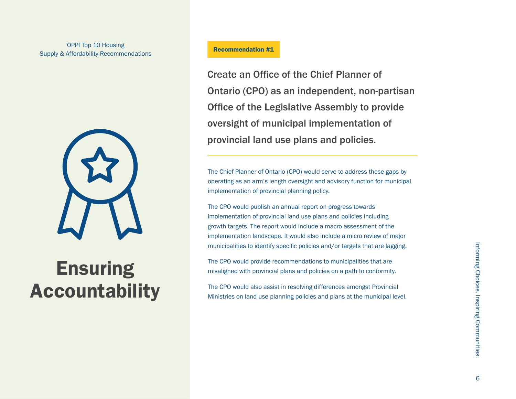

## **Ensuring** Accountability

Create an Office of the Chief Planner of Ontario (CPO) as an independent, non-partisan Office of the Legislative Assembly to provide oversight of municipal implementation of provincial land use plans and policies.

The Chief Planner of Ontario (CPO) would serve to address these gaps by operating as an arm's length oversight and advisory function for municipal implementation of provincial planning policy.

The CPO would publish an annual report on progress towards implementation of provincial land use plans and policies including growth targets. The report would include a macro assessment of the implementation landscape. It would also include a micro review of major municipalities to identify specific policies and/or targets that are lagging.

The CPO would provide recommendations to municipalities that are misaligned with provincial plans and policies on a path to conformity.

The CPO would also assist in resolving differences amongst Provincial Ministries on land use planning policies and plans at the municipal level.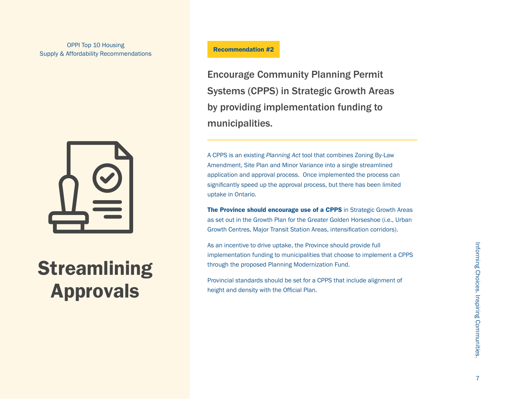

## **Streamlining** Approvals

## Recommendation #2

Encourage Community Planning Permit Systems (CPPS) in Strategic Growth Areas by providing implementation funding to municipalities.

A CPPS is an existing *Planning Act* tool that combines Zoning By-Law Amendment, Site Plan and Minor Variance into a single streamlined application and approval process. Once implemented the process can significantly speed up the approval process, but there has been limited uptake in Ontario.

The Province should encourage use of a CPPS in Strategic Growth Areas as set out in the Growth Plan for the Greater Golden Horseshoe (i.e., Urban Growth Centres, Major Transit Station Areas, intensification corridors).

As an incentive to drive uptake, the Province should provide full implementation funding to municipalities that choose to implement a CPPS through the proposed Planning Modernization Fund.

Provincial standards should be set for a CPPS that include alignment of height and density with the Official Plan.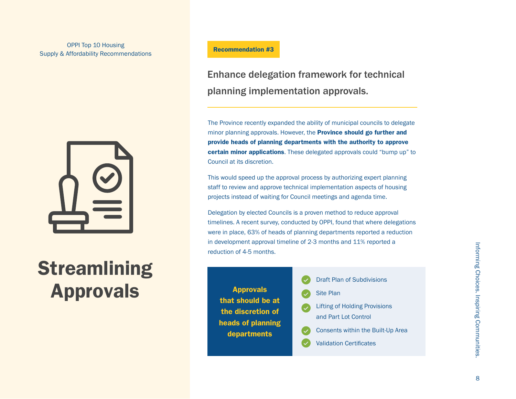

## **Streamlining** Approvals

### Recommendation #3

Enhance delegation framework for technical planning implementation approvals.

The Province recently expanded the ability of municipal councils to delegate minor planning approvals. However, the **Province should go further and** provide heads of planning departments with the authority to approve certain minor applications. These delegated approvals could "bump up" to Council at its discretion.

This would speed up the approval process by authorizing expert planning staff to review and approve technical implementation aspects of housing projects instead of waiting for Council meetings and agenda time.

Delegation by elected Councils is a proven method to reduce approval timelines. A recent survey, conducted by OPPI, found that where delegations were in place, 63% of heads of planning departments reported a reduction in development approval timeline of 2-3 months and 11% reported a reduction of 4-5 months.

|                                        | <b>Draft Plan of Subdivisions</b>                            |
|----------------------------------------|--------------------------------------------------------------|
| <b>Approvals</b>                       | <b>Site Plan</b>                                             |
| that should be at<br>the discretion of | <b>Lifting of Holding Provisions</b><br>and Part Lot Control |
| heads of planning                      | Consents within the Built-Up Area                            |
| departments                            | <b>Validation Certificates</b>                               |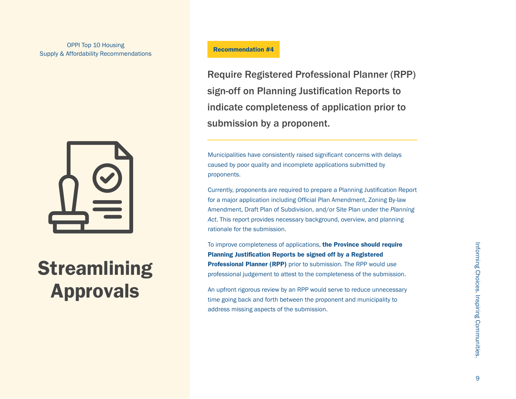

## **Streamlining** Approvals

## Recommendation #4

Require Registered Professional Planner (RPP) sign-off on Planning Justification Reports to indicate completeness of application prior to submission by a proponent.

Municipalities have consistently raised significant concerns with delays caused by poor quality and incomplete applications submitted by proponents.

Currently, proponents are required to prepare a Planning Justification Report for a major application including Official Plan Amendment, Zoning By-law Amendment, Draft Plan of Subdivision, and/or Site Plan under the *Planning Act*. This report provides necessary background, overview, and planning rationale for the submission.

To improve completeness of applications, the Province should require Planning Justification Reports be signed off by a Registered **Professional Planner (RPP)** prior to submission. The RPP would use professional judgement to attest to the completeness of the submission.

An upfront rigorous review by an RPP would serve to reduce unnecessary time going back and forth between the proponent and municipality to address missing aspects of the submission.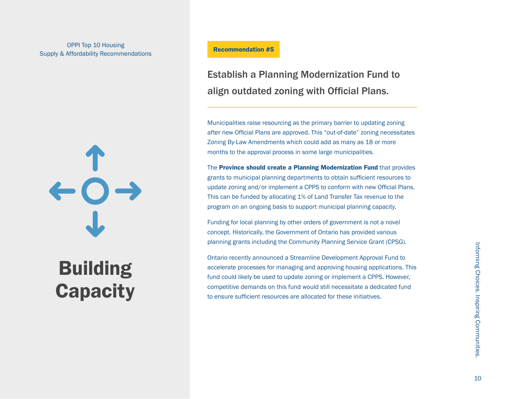# $\leftarrow$  0 -

## Building **Capacity**

### Recommendation #5

## Establish a Planning Modernization Fund to align outdated zoning with Official Plans.

Municipalities raise resourcing as the primary barrier to updating zoning after new Official Plans are approved. This "out-of-date" zoning necessitates Zoning By-Law Amendments which could add as many as 18 or more months to the approval process in some large municipalities.

The Province should create a Planning Modernization Fund that provides grants to municipal planning departments to obtain sufficient resources to update zoning and/or implement a CPPS to conform with new Official Plans. This can be funded by allocating 1% of Land Transfer Tax revenue to the program on an ongoing basis to support municipal planning capacity.

Funding for local planning by other orders of government is not a novel concept. Historically, the Government of Ontario has provided various planning grants including the Community Planning Service Grant (CPSG).

Ontario recently announced a Streamline Development Approval Fund to accelerate processes for managing and approving housing applications. This fund could likely be used to update zoning or implement a CPPS. However, competitive demands on this fund would still necessitate a dedicated fund to ensure sufficient resources are allocated for these initiatives.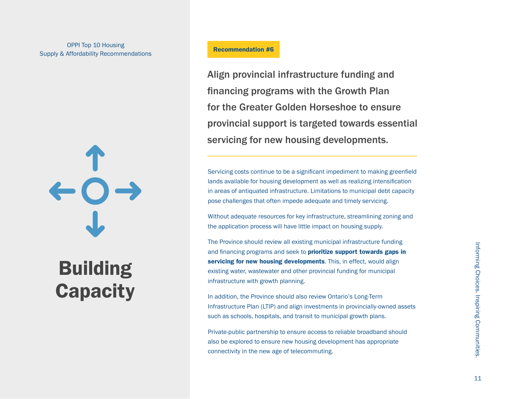## OPPI Top 10 Housing Supply & Affordability Recommendations

# $O \rightarrow$

## Building **Capacity**

## Recommendation #6

Align provincial infrastructure funding and financing programs with the Growth Plan for the Greater Golden Horseshoe to ensure provincial support is targeted towards essential servicing for new housing developments.

Servicing costs continue to be a significant impediment to making greenfield lands available for housing development as well as realizing intensification in areas of antiquated infrastructure. Limitations to municipal debt capacity pose challenges that often impede adequate and timely servicing.

Without adequate resources for key infrastructure, streamlining zoning and the application process will have little impact on housing supply.

The Province should review all existing municipal infrastructure funding and financing programs and seek to **prioritize support towards gaps in** servicing for new housing developments. This, in effect, would align existing water, wastewater and other provincial funding for municipal infrastructure with growth planning.

In addition, the Province should also review Ontario's Long-Term Infrastructure Plan (LTIP) and align investments in provincially-owned assets such as schools, hospitals, and transit to municipal growth plans.

Private-public partnership to ensure access to reliable broadband should also be explored to ensure new housing development has appropriate connectivity in the new age of telecommuting.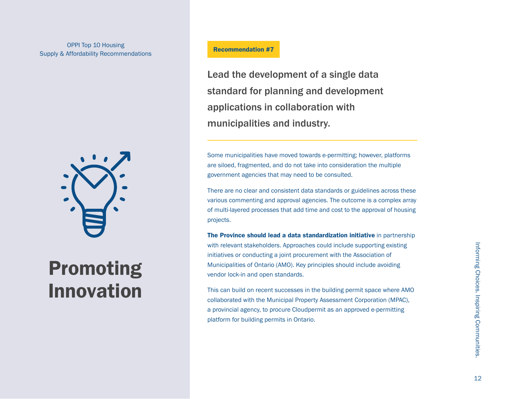## OPPI Top 10 Housing Supply & Affordability Recommendations



## Promoting Innovation

## Recommendation #7

Lead the development of a single data standard for planning and development applications in collaboration with municipalities and industry.

Some municipalities have moved towards e-permitting; however, platforms are siloed, fragmented, and do not take into consideration the multiple government agencies that may need to be consulted.

There are no clear and consistent data standards or guidelines across these various commenting and approval agencies. The outcome is a complex array of multi-layered processes that add time and cost to the approval of housing projects.

The Province should lead a data standardization initiative in partnership with relevant stakeholders. Approaches could include supporting existing initiatives or conducting a joint procurement with the Association of Municipalities of Ontario (AMO). Key principles should include avoiding vendor lock-in and open standards.

This can build on recent successes in the building permit space where AMO collaborated with the Municipal Property Assessment Corporation (MPAC), a provincial agency, to procure Cloudpermit as an approved e-permitting platform for building permits in Ontario.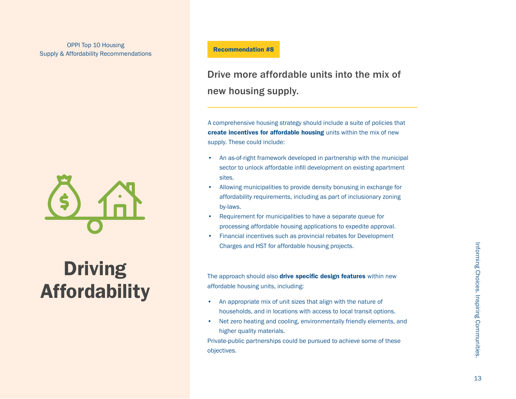

## **Driving** Affordability

## Recommendation #8

## Drive more affordable units into the mix of new housing supply.

A comprehensive housing strategy should include a suite of policies that create incentives for affordable housing units within the mix of new supply. These could include:

- An as-of-right framework developed in partnership with the municipal sector to unlock affordable infill development on existing apartment sites.
- Allowing municipalities to provide density bonusing in exchange for affordability requirements, including as part of inclusionary zoning by-laws.
- Requirement for municipalities to have a separate queue for processing affordable housing applications to expedite approval.
- Financial incentives such as provincial rebates for Development Charges and HST for affordable housing projects.

The approach should also **drive specific design features** within new affordable housing units, including:

- An appropriate mix of unit sizes that align with the nature of households, and in locations with access to local transit options.
- Net zero heating and cooling, environmentally friendly elements, and higher quality materials.

Private-public partnerships could be pursued to achieve some of these objectives.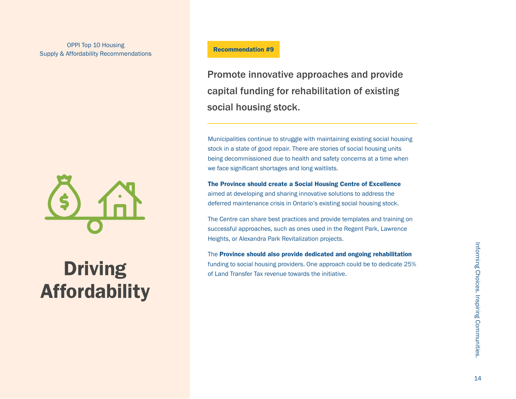## OPPI Top 10 Housing Supply & Affordability Recommendations



## **Driving** Affordability

## Recommendation #9

Promote innovative approaches and provide capital funding for rehabilitation of existing social housing stock.

Municipalities continue to struggle with maintaining existing social housing stock in a state of good repair. There are stories of social housing units being decommissioned due to health and safety concerns at a time when we face significant shortages and long waitlists.

#### The Province should create a Social Housing Centre of Excellence

aimed at developing and sharing innovative solutions to address the deferred maintenance crisis in Ontario's existing social housing stock.

The Centre can share best practices and provide templates and training on successful approaches, such as ones used in the Regent Park, Lawrence Heights, or Alexandra Park Revitalization projects.

The Province should also provide dedicated and ongoing rehabilitation funding to social housing providers. One approach could be to dedicate 25% of Land Transfer Tax revenue towards the initiative.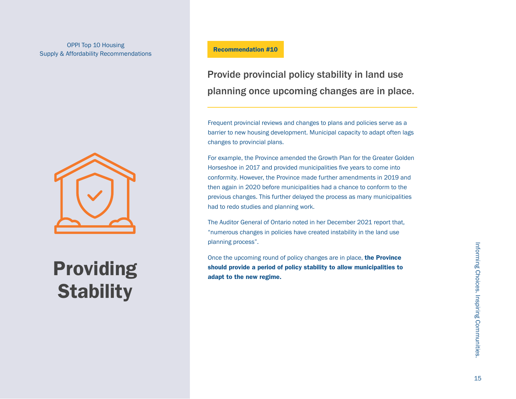## OPPI Top 10 Housing<br>
Management of the Commendation #10 Supply & Affordability Recommendations



## Providing **Stability**

Provide provincial policy stability in land use planning once upcoming changes are in place.

Frequent provincial reviews and changes to plans and policies serve as a barrier to new housing development. Municipal capacity to adapt often lags changes to provincial plans.

For example, the Province amended the Growth Plan for the Greater Golden Horseshoe in 2017 and provided municipalities five years to come into conformity. However, the Province made further amendments in 2019 and then again in 2020 before municipalities had a chance to conform to the previous changes. This further delayed the process as many municipalities had to redo studies and planning work.

The Auditor General of Ontario noted in her December 2021 report that, "numerous changes in policies have created instability in the land use planning process".

Once the upcoming round of policy changes are in place, the Province should provide a period of policy stability to allow municipalities to adapt to the new regime.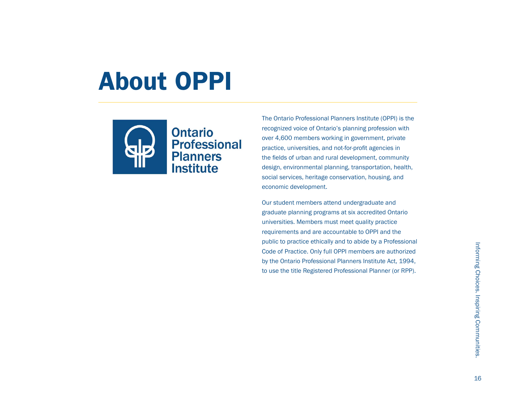## About OPPI



The Ontario Professional Planners Institute (OPPI) is the recognized voice of Ontario's planning profession with over 4,600 members working in government, private practice, universities, and not-for-profit agencies in the fields of urban and rural development, community design, environmental planning, transportation, health, social services, heritage conservation, housing, and economic development.

Our student members attend undergraduate and graduate planning programs at six accredited Ontario universities. Members must meet quality practice requirements and are accountable to OPPI and the public to practice ethically and to abide by a Professional Code of Practice. Only full OPPI members are authorized by the Ontario Professional Planners Institute Act, 1994, to use the title Registered Professional Planner (or RPP).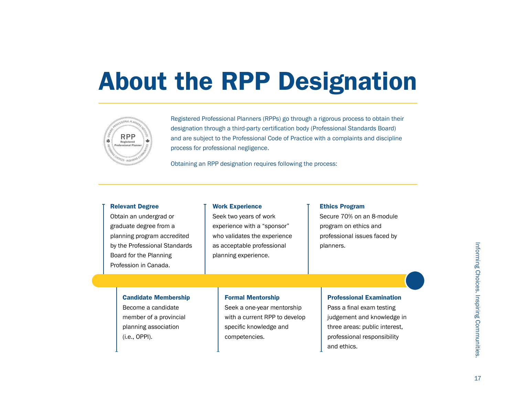## About the RPP Designation



Registered Professional Planners (RPPs) go through a rigorous process to obtain their designation through a third-party certification body (Professional Standards Board)<br>and are subject to the Professional Code of Practice with a complaints and disciplir and are subject to the Professional Code of Practice with a complaints and discipline process for professional negligence.

process for professional negligence.<br>Obtaining an RPP designation requires following the process:

#### Relevant Degree

#### Work Experience

Obtain an undergrad or graduate degree from a planning program accredited by the Professional Standards Board for the Planning Profession in Canada.

## Seek two years of work experience with a "sponsor" who validates the experience as acceptable professional planning experience.

#### Ethics Program

Secure 70% on an 8-module program on ethics and professional issues faced by planners.

#### Candidate Membership

Become a candidate member of a provincial planning association (i.e., OPPI).

#### Formal Mentorship

Seek a one-year mentorship with a current RPP to develop specific knowledge and competencies.

#### Professional Examination

Pass a final exam testing judgement and knowledge in three areas: public interest, professional responsibility and ethics.